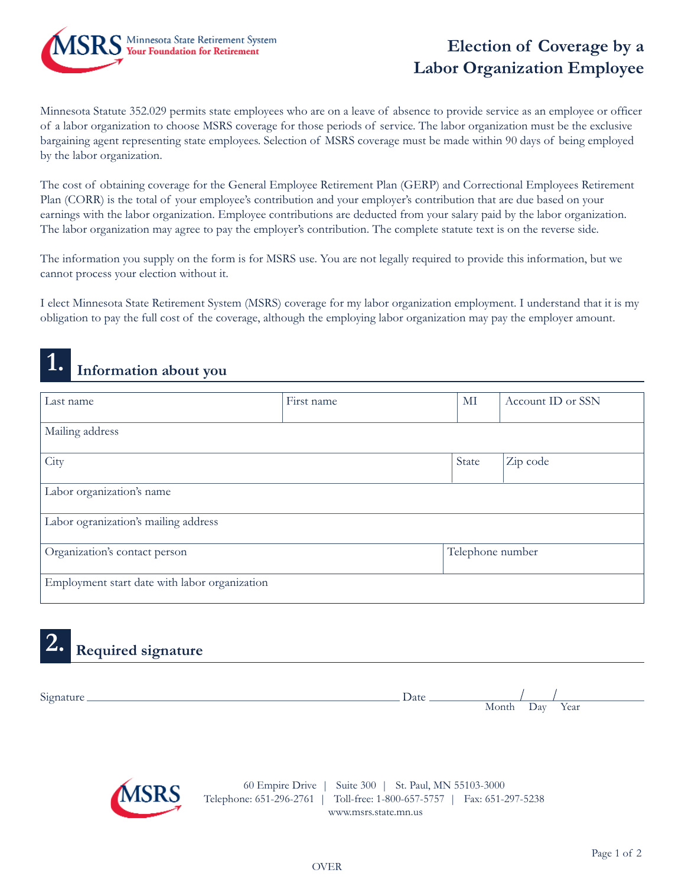

# **Election of Coverage by a Labor Organization Employee**

Minnesota Statute 352.029 permits state employees who are on a leave of absence to provide service as an employee or officer of a labor organization to choose MSRS coverage for those periods of service. The labor organization must be the exclusive bargaining agent representing state employees. Selection of MSRS coverage must be made within 90 days of being employed by the labor organization.

The cost of obtaining coverage for the General Employee Retirement Plan (GERP) and Correctional Employees Retirement Plan (CORR) is the total of your employee's contribution and your employer's contribution that are due based on your earnings with the labor organization. Employee contributions are deducted from your salary paid by the labor organization. The labor organization may agree to pay the employer's contribution. The complete statute text is on the reverse side.

The information you supply on the form is for MSRS use. You are not legally required to provide this information, but we cannot process your election without it.

I elect Minnesota State Retirement System (MSRS) coverage for my labor organization employment. I understand that it is my obligation to pay the full cost of the coverage, although the employing labor organization may pay the employer amount.

# **1. Information about you**

| Last name                                     | First name | MI               | Account ID or SSN |  |  |  |
|-----------------------------------------------|------------|------------------|-------------------|--|--|--|
| Mailing address                               |            |                  |                   |  |  |  |
| City                                          |            | State            | Zip code          |  |  |  |
| Labor organization's name                     |            |                  |                   |  |  |  |
| Labor ogranization's mailing address          |            |                  |                   |  |  |  |
| Organization's contact person                 |            | Telephone number |                   |  |  |  |
| Employment start date with labor organization |            |                  |                   |  |  |  |

# **2. Required signature**

| $\sim$<br>519 <sub>na</sub> | Date |                      |                               |      |
|-----------------------------|------|----------------------|-------------------------------|------|
|                             |      | $M$ onti<br>THOTICII | $\mathbf{a}$<br>້ື້<br>$\sim$ | Year |